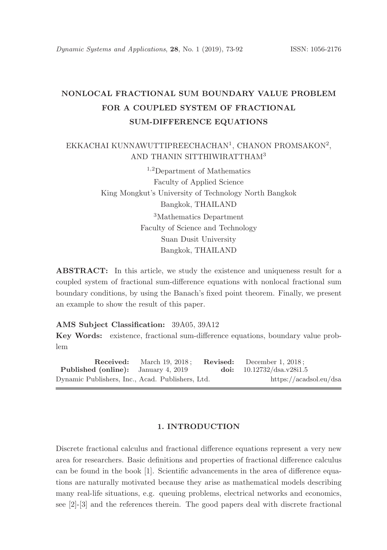# NONLOCAL FRACTIONAL SUM BOUNDARY VALUE PROBLEM FOR A COUPLED SYSTEM OF FRACTIONAL SUM-DIFFERENCE EQUATIONS

## EKKACHAI KUNNAWUTTIPREECHACHAN<sup>1</sup>, CHANON PROMSAKON<sup>2</sup>, AND THANIN SITTHIWIRATTHAM<sup>3</sup>

<sup>1</sup>,<sup>2</sup>Department of Mathematics Faculty of Applied Science King Mongkut's University of Technology North Bangkok Bangkok, THAILAND <sup>3</sup>Mathematics Department Faculty of Science and Technology Suan Dusit University Bangkok, THAILAND

ABSTRACT: In this article, we study the existence and uniqueness result for a coupled system of fractional sum-difference equations with nonlocal fractional sum boundary conditions, by using the Banach's fixed point theorem. Finally, we present an example to show the result of this paper.

AMS Subject Classification: 39A05, 39A12

Key Words: existence, fractional sum-difference equations, boundary value problem

**Received:** March 19, 2018; **Revised:** December 1, 2018;<br>**1 (online):** January 4, 2019 **doi:**  $10.12732/\text{dsa.v.}28i1.5$ Published (online): January 4, 2019 Dynamic Publishers, Inc., Acad. Publishers, Ltd. https://acadsol.eu/dsa

#### 1. INTRODUCTION

Discrete fractional calculus and fractional difference equations represent a very new area for researchers. Basic definitions and properties of fractional difference calculus can be found in the book [1]. Scientific advancements in the area of difference equations are naturally motivated because they arise as mathematical models describing many real-life situations, e.g. queuing problems, electrical networks and economics, see [2]-[3] and the references therein. The good papers deal with discrete fractional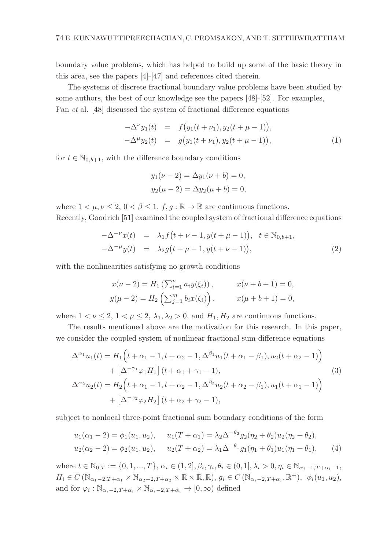boundary value problems, which has helped to build up some of the basic theory in this area, see the papers [4]-[47] and references cited therein.

The systems of discrete fractional boundary value problems have been studied by some authors, the best of our knowledge see the papers [48]-[52]. For examples, Pan et al. [48] discussed the system of fractional difference equations

$$
-\Delta^{\nu} y_1(t) = f(y_1(t+\nu_1), y_2(t+\mu-1)),-\Delta^{\mu} y_2(t) = g(y_1(t+\nu_1), y_2(t+\mu-1)),
$$
\n(1)

for  $t \in \mathbb{N}_{0,b+1}$ , with the difference boundary conditions

$$
y_1(\nu - 2) = \Delta y_1(\nu + b) = 0,
$$
  
\n $y_2(\mu - 2) = \Delta y_2(\mu + b) = 0,$ 

where  $1 < \mu, \nu \leq 2, 0 < \beta \leq 1, f, g : \mathbb{R} \to \mathbb{R}$  are continuous functions.

Recently, Goodrich [51] examined the coupled system of fractional difference equations

$$
-\Delta^{-\nu}x(t) = \lambda_1 f(t + \nu - 1, y(t + \mu - 1)), \quad t \in \mathbb{N}_{0,b+1},
$$
  

$$
-\Delta^{-\mu}y(t) = \lambda_2 g(t + \mu - 1, y(t + \nu - 1)),
$$
 (2)

with the nonlinearities satisfying no growth conditions

$$
x(\nu - 2) = H_1(\sum_{i=1}^n a_i y(\xi_i)), \qquad x(\nu + b + 1) = 0,
$$
  

$$
y(\mu - 2) = H_2(\sum_{j=1}^m b_i x(\zeta_i)), \qquad x(\mu + b + 1) = 0,
$$

where  $1 < \nu \leq 2$ ,  $1 < \mu \leq 2$ ,  $\lambda_1, \lambda_2 > 0$ , and  $H_1, H_2$  are continuous functions.

The results mentioned above are the motivation for this research. In this paper, we consider the coupled system of nonlinear fractional sum-difference equations

$$
\Delta^{\alpha_1} u_1(t) = H_1 \Big( t + \alpha_1 - 1, t + \alpha_2 - 1, \Delta^{\beta_1} u_1(t + \alpha_1 - \beta_1), u_2(t + \alpha_2 - 1) \Big) + \left[ \Delta^{-\gamma_1} \varphi_1 H_1 \right] (t + \alpha_1 + \gamma_1 - 1),
$$
\n
$$
\Delta^{\alpha_2} u_2(t) = H_2 \Big( t + \alpha_1 - 1, t + \alpha_2 - 1, \Delta^{\beta_2} u_2(t + \alpha_2 - \beta_1), u_1(t + \alpha_1 - 1) \Big) + \left[ \Delta^{-\gamma_2} \varphi_2 H_2 \right] (t + \alpha_2 + \gamma_2 - 1),
$$
\n(3)

subject to nonlocal three-point fractional sum boundary conditions of the form

$$
u_1(\alpha_1 - 2) = \phi_1(u_1, u_2), \qquad u_1(T + \alpha_1) = \lambda_2 \Delta^{-\theta_2} g_2(\eta_2 + \theta_2) u_2(\eta_2 + \theta_2),
$$
  

$$
u_2(\alpha_2 - 2) = \phi_2(u_1, u_2), \qquad u_2(T + \alpha_2) = \lambda_1 \Delta^{-\theta_1} g_1(\eta_1 + \theta_1) u_1(\eta_1 + \theta_1), \qquad (4)
$$

where  $t \in \mathbb{N}_{0,T} := \{0, 1, ..., T\}, \alpha_i \in (1, 2], \beta_i, \gamma_i, \theta_i \in (0, 1], \lambda_i > 0, \eta_i \in \mathbb{N}_{\alpha_i - 1, T + \alpha_i - 1},$  $H_i \in C(\mathbb{N}_{\alpha_1-2,T+\alpha_1} \times \mathbb{N}_{\alpha_2-2,T+\alpha_2} \times \mathbb{R} \times \mathbb{R}, \mathbb{R}), g_i \in C(\mathbb{N}_{\alpha_i-2,T+\alpha_i}, \mathbb{R}^+), \phi_i(u_1, u_2),$ and for  $\varphi_i : \mathbb{N}_{\alpha_i-2, T+\alpha_i} \times \mathbb{N}_{\alpha_i-2, T+\alpha_i} \to [0, \infty)$  defined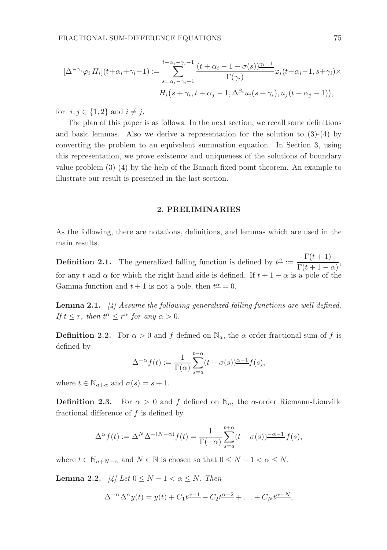$$
[\Delta^{-\gamma_i} \varphi_i H_i](t + \alpha_i + \gamma_i - 1) := \sum_{s = \alpha_i - \gamma_i - 1}^{t + \alpha_i - \gamma_i - 1} \frac{(t + \alpha_i - 1 - \sigma(s))\gamma_i - 1}{\Gamma(\gamma_i)} \varphi_i(t + \alpha_i - 1, s + \gamma_i) \times
$$
  

$$
H_i(s + \gamma_i, t + \alpha_j - 1, \Delta^{\beta_i} u_i(s + \gamma_i), u_j(t + \alpha_j - 1)),
$$

for  $i, j \in \{1, 2\}$  and  $i \neq j$ .

The plan of this paper is as follows. In the next section, we recall some definitions and basic lemmas. Also we derive a representation for the solution to  $(3)-(4)$  by converting the problem to an equivalent summation equation. In Section 3, using this representation, we prove existence and uniqueness of the solutions of boundary value problem (3)-(4) by the help of the Banach fixed point theorem. An example to illustrate our result is presented in the last section.

#### 2. PRELIMINARIES

As the following, there are notations, definitions, and lemmas which are used in the main results.

**Definition 2.1.** The generalized falling function is defined by  $t^{\alpha} := \frac{\Gamma(t+1)}{\Gamma(t+1)}$  $\frac{1}{\Gamma(t+1-\alpha)},$ for any t and  $\alpha$  for which the right-hand side is defined. If  $t + 1 - \alpha$  is a pole of the Gamma function and  $t + 1$  is not a pole, then  $t^{\underline{\alpha}} = 0$ .

**Lemma 2.1.**  $\begin{bmatrix} \frac{1}{4} \end{bmatrix}$  Assume the following generalized falling functions are well defined. If  $t \leq r$ , then  $t^{\underline{\alpha}} \leq r^{\underline{\alpha}}$  for any  $\alpha > 0$ .

**Definition 2.2.** For  $\alpha > 0$  and f defined on  $\mathbb{N}_a$ , the  $\alpha$ -order fractional sum of f is defined by

$$
\Delta^{-\alpha} f(t) := \frac{1}{\Gamma(\alpha)} \sum_{s=a}^{t-\alpha} (t - \sigma(s))^{\alpha-1} f(s),
$$

where  $t \in \mathbb{N}_{a+\alpha}$  and  $\sigma(s) = s + 1$ .

**Definition 2.3.** For  $\alpha > 0$  and f defined on  $\mathbb{N}_a$ , the  $\alpha$ -order Riemann-Liouville fractional difference of  $f$  is defined by

$$
\Delta^{\alpha} f(t) := \Delta^N \Delta^{-(N-\alpha)} f(t) = \frac{1}{\Gamma(-\alpha)} \sum_{s=a}^{t+\alpha} (t - \sigma(s)) \frac{1-\alpha-1}{s-s} f(s),
$$

where  $t \in \mathbb{N}_{a+N-\alpha}$  and  $N \in \mathbb{N}$  is chosen so that  $0 \leq N-1 < \alpha \leq N$ .

Lemma 2.2. [4] Let  $0 \leq N-1 < \alpha \leq N$ . Then

$$
\Delta^{-\alpha}\Delta^{\alpha}y(t) = y(t) + C_1t^{\alpha-1} + C_2t^{\alpha-2} + \ldots + C_Nt^{\alpha-N},
$$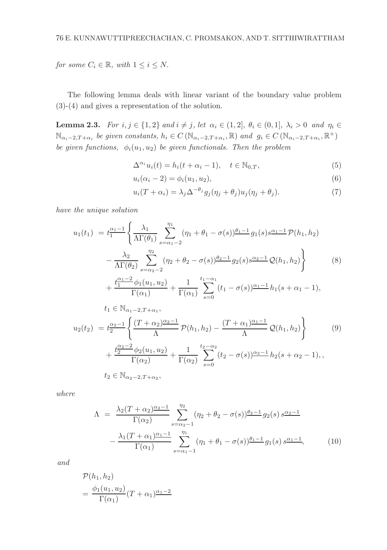for some  $C_i \in \mathbb{R}$ , with  $1 \leq i \leq N$ .

The following lemma deals with linear variant of the boundary value problem (3)-(4) and gives a representation of the solution.

**Lemma 2.3.** For  $i, j \in \{1, 2\}$  and  $i \neq j$ , let  $\alpha_i \in (1, 2], \theta_i \in (0, 1], \lambda_i > 0$  and  $\eta_i \in$  $\mathbb{N}_{\alpha_i-2,T+\alpha_i}$  be given constants,  $h_i \in C(\mathbb{N}_{\alpha_i-2,T+\alpha_i}, \mathbb{R})$  and  $g_i \in C(\mathbb{N}_{\alpha_i-2,T+\alpha_i}, \mathbb{R}^+)$ be given functions,  $\phi_i(u_1, u_2)$  be given functionals. Then the problem

$$
\Delta^{\alpha_i} u_i(t) = h_i(t + \alpha_i - 1), \quad t \in \mathbb{N}_{0,T},
$$
\n
$$
(5)
$$

$$
u_i(\alpha_i - 2) = \phi_i(u_1, u_2), \tag{6}
$$

$$
u_i(T + \alpha_i) = \lambda_j \Delta^{-\theta_j} g_j(\eta_j + \theta_j) u_j(\eta_j + \theta_j). \tag{7}
$$

have the unique solution

$$
u_1(t_1) = t_1^{\alpha_1 - 1} \left\{ \frac{\lambda_1}{\Lambda \Gamma(\theta_1)} \sum_{s = \alpha_1 - 2}^{\eta_1} (\eta_1 + \theta_1 - \sigma(s)) \frac{\theta_1 - 1}{2} g_1(s) s^{\alpha_1 - 1} \mathcal{P}(h_1, h_2) - \frac{\lambda_2}{\Lambda \Gamma(\theta_2)} \sum_{s = \alpha_2 - 2}^{\eta_2} (\eta_2 + \theta_2 - \sigma(s)) \frac{\theta_2 - 1}{2} g_2(s) s^{\alpha_2 - 1} \mathcal{Q}(h_1, h_2) \right\}
$$
(8)  
+  $\frac{t_1^{\alpha_1 - 2} \phi_1(u_1, u_2)}{\Gamma(\theta_2)} + \frac{1}{2} \sum_{s = \alpha_1 + 1}^{t_1 - \alpha_1} \sum_{s = \alpha_2 + 1}^{\alpha_1 - 1} h_1(s + \alpha_1 - 1),$ 

$$
+\frac{t_1^{\alpha_1-2}\phi_1(u_1,u_2)}{\Gamma(\alpha_1)}+\frac{1}{\Gamma(\alpha_1)}\sum_{s=0}^{t_1-\alpha_1} (t_1-\sigma(s))^{\alpha_1-1}h_1(s+\alpha_1-1),
$$
  

$$
t_1 \in \mathbb{N}_{\alpha_1-2} T_{+}\alpha_1.
$$

$$
t_1 \in \mathbb{N}_{\alpha_1 - 2, T + \alpha_1},
$$
  
\n
$$
u_2(t_2) = t_2^{\alpha_2 - 1} \left\{ \frac{(T + \alpha_2)^{\alpha_2 - 1}}{\Lambda} \mathcal{P}(h_1, h_2) - \frac{(T + \alpha_1)^{\alpha_1 - 1}}{\Lambda} \mathcal{Q}(h_1, h_2) \right\}
$$
  
\n
$$
+ \frac{t_2^{\alpha_2 - 2} \phi_2(u_1, u_2)}{\Gamma(\alpha_2)} + \frac{1}{\Gamma(\alpha_2)} \sum_{s=0}^{t_2 - \alpha_2} (t_2 - \sigma(s))^{\alpha_2 - 1} h_2(s + \alpha_2 - 1),
$$
  
\n
$$
t_2 \in \mathbb{N}_{\alpha_2 - 2, T + \alpha_2},
$$
\n(9)

where

$$
\Lambda = \frac{\lambda_2 (T + \alpha_2)^{\alpha_2 - 1}}{\Gamma(\alpha_2)} \sum_{s = \alpha_2 - 1}^{\eta_2} (\eta_2 + \theta_2 - \sigma(s))^{\theta_2 - 1} g_2(s) s^{\alpha_2 - 1} - \frac{\lambda_1 (T + \alpha_1)^{\alpha_1 - 1}}{\Gamma(\alpha_1)} \sum_{s = \alpha_1 - 1}^{\eta_1} (\eta_1 + \theta_1 - \sigma(s))^{\theta_1 - 1} g_1(s) s^{\alpha_1 - 1} (10)
$$

and

$$
\mathcal{P}(h_1, h_2)
$$
  
= 
$$
\frac{\phi_1(u_1, u_2)}{\Gamma(\alpha_1)} (T + \alpha_1)^{\alpha_1 - 2}
$$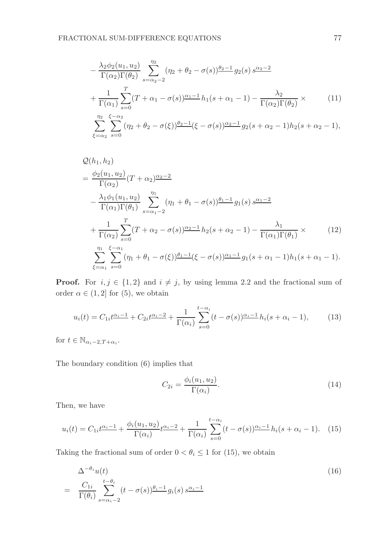$$
-\frac{\lambda_2 \phi_2(u_1, u_2)}{\Gamma(\alpha_2)\Gamma(\theta_2)} \sum_{s=\alpha_2-2}^{\eta_2} (\eta_2 + \theta_2 - \sigma(s)) \frac{\theta_2 - 1}{2} g_2(s) s^{\alpha_2 - 2} + \frac{1}{\Gamma(\alpha_1)} \sum_{s=0}^T (T + \alpha_1 - \sigma(s)) \frac{\alpha_1 - 1}{2} h_1(s + \alpha_1 - 1) - \frac{\lambda_2}{\Gamma(\alpha_2)\Gamma(\theta_2)} \times \frac{\pi_2}{2} \sum_{s=\alpha_2}^{\xi - \alpha_2} (\eta_2 + \theta_2 - \sigma(\xi)) \frac{\theta_2 - 1}{2} (\xi - \sigma(s)) \frac{\alpha_2 - 1}{2} g_2(s + \alpha_2 - 1) h_2(s + \alpha_2 - 1),
$$
\n(11)

$$
\mathcal{Q}(h_1, h_2) = \frac{\phi_2(u_1, u_2)}{\Gamma(\alpha_2)} (T + \alpha_2)^{\alpha_2 - 2} - \frac{\lambda_1 \phi_1(u_1, u_2)}{\Gamma(\alpha_1)\Gamma(\theta_1)} \sum_{s = \alpha_1 - 2}^{\eta_1} (\eta_1 + \theta_1 - \sigma(s))^{\theta_1 - 1} g_1(s) s^{\alpha_1 - 2} + \frac{1}{\Gamma(\alpha_2)} \sum_{s = 0}^T (T + \alpha_2 - \sigma(s))^{\alpha_2 - 1} h_2(s + \alpha_2 - 1) - \frac{\lambda_1}{\Gamma(\alpha_1)\Gamma(\theta_1)} \times \sum_{\xi = \alpha_1}^{\eta_1} \sum_{s = 0}^{\xi - \alpha_1} (\eta_1 + \theta_1 - \sigma(\xi))^{\theta_1 - 1} (\xi - \sigma(s))^{\alpha_1 - 1} g_1(s + \alpha_1 - 1) h_1(s + \alpha_1 - 1).
$$
\n(12)

**Proof.** For  $i, j \in \{1, 2\}$  and  $i \neq j$ , by using lemma 2.2 and the fractional sum of order  $\alpha \in (1,2]$  for  $(5)$ , we obtain

$$
u_i(t) = C_{1i}t^{\frac{\alpha_i - 1}{2}} + C_{2i}t^{\frac{\alpha_i - 2}{2}} + \frac{1}{\Gamma(\alpha_i)}\sum_{s=0}^{t-\alpha_i} (t - \sigma(s))^{\frac{\alpha_i - 1}{2}}h_i(s + \alpha_i - 1),\tag{13}
$$

for  $t \in \mathbb{N}_{\alpha_i - 2, T + \alpha_i}$ .

The boundary condition (6) implies that

$$
C_{2i} = \frac{\phi_i(u_1, u_2)}{\Gamma(\alpha_i)}.
$$
\n(14)

Then, we have

$$
u_i(t) = C_{1i}t^{\alpha_i - 1} + \frac{\phi_i(u_1, u_2)}{\Gamma(\alpha_i)}t^{\alpha_i - 2} + \frac{1}{\Gamma(\alpha_i)}\sum_{s=0}^{t-\alpha_i} (t - \sigma(s))^{\alpha_i - 1}h_i(s + \alpha_i - 1). \tag{15}
$$

Taking the fractional sum of order  $0 < \theta_i \leq 1$  for (15), we obtain

$$
\Delta^{-\theta_i} u(t) = \frac{C_{1i}}{\Gamma(\theta_i)} \sum_{s=\alpha_i-2}^{t-\theta_i} (t-\sigma(s)) \frac{\theta_i-1}{s-\theta_i(s)} s^{\frac{\alpha_i-1}{s-\theta_i}} \tag{16}
$$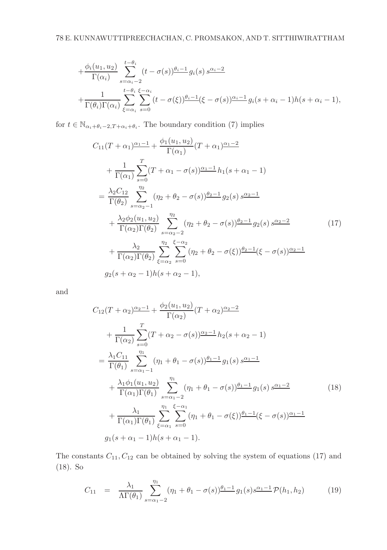$$
+\frac{\phi_i(u_1, u_2)}{\Gamma(\alpha_i)} \sum_{s=\alpha_i-2}^{t-\theta_i} (t-\sigma(s)) \frac{\theta_i-1}{s} g_i(s) s^{\alpha_i-2} +\frac{1}{\Gamma(\theta_i)\Gamma(\alpha_i)} \sum_{\xi=\alpha_i}^{t-\theta_i} \sum_{s=0}^{\xi-\alpha_i} (t-\sigma(\xi)) \frac{\theta_i-1}{s} (\xi-\sigma(s))^{2\alpha_i-1} g_i(s+\alpha_i-1) h(s+\alpha_i-1),
$$

for  $t \in \mathbb{N}_{\alpha_i+\theta_i-2,T+\alpha_i+\theta_i}$ . The boundary condition (7) implies

$$
C_{11}(T + \alpha_1) \frac{\alpha_1 - 1}{\Gamma(\alpha_1)} + \frac{\phi_1(u_1, u_2)}{\Gamma(\alpha_1)} (T + \alpha_1) \frac{\alpha_1 - 2}{\Gamma(\alpha_1)}
$$
  
+ 
$$
\frac{1}{\Gamma(\alpha_1)} \sum_{s=0}^T (T + \alpha_1 - \sigma(s)) \frac{\alpha_1 - 1}{\Gamma(\alpha_1)} h_1(s + \alpha_1 - 1)
$$
  
= 
$$
\frac{\lambda_2 C_{12}}{\Gamma(\theta_2)} \sum_{s=\alpha_2 - 1}^{\eta_2} (\eta_2 + \theta_2 - \sigma(s)) \frac{\theta_2 - 1}{\Gamma(\alpha_2)} g_2(s) s^{\alpha_2 - 1}
$$
  
+ 
$$
\frac{\lambda_2 \phi_2(u_1, u_2)}{\Gamma(\alpha_2) \Gamma(\theta_2)} \sum_{s=\alpha_2 - 2}^{\eta_2} (\eta_2 + \theta_2 - \sigma(s)) \frac{\theta_2 - 1}{\Gamma(\alpha_2)} g_2(s) s^{\alpha_2 - 2}
$$
  
+ 
$$
\frac{\lambda_2}{\Gamma(\alpha_2) \Gamma(\theta_2)} \sum_{\xi=\alpha_2}^{\eta_2} \sum_{s=0}^{\xi - \alpha_2} (\eta_2 + \theta_2 - \sigma(\xi)) \frac{\theta_2 - 1}{\Gamma(\alpha_2)} (\xi - \sigma(s)) \frac{\alpha_2 - 1}{\Gamma(\alpha_2)} g_2(s + \alpha_2 - 1) h(s + \alpha_2 - 1),
$$
 (17)

and

$$
C_{12}(T + \alpha_2)^{\alpha_2 - 1} + \frac{\phi_2(u_1, u_2)}{\Gamma(\alpha_2)}(T + \alpha_2)^{\alpha_2 - 2} + \frac{1}{\Gamma(\alpha_2)} \sum_{s=0}^T (T + \alpha_2 - \sigma(s))^{\alpha_2 - 1} h_2(s + \alpha_2 - 1) = \frac{\lambda_1 C_{11}}{\Gamma(\theta_1)} \sum_{s=\alpha_1-1}^{\eta_1} (\eta_1 + \theta_1 - \sigma(s))^{\theta_1 - 1} g_1(s) s^{\alpha_1 - 1} + \frac{\lambda_1 \phi_1(u_1, u_2)}{\Gamma(\alpha_1)\Gamma(\theta_1)} \sum_{s=\alpha_1-2}^{\eta_1} (\eta_1 + \theta_1 - \sigma(s))^{\theta_1 - 1} g_1(s) s^{\alpha_1 - 2} + \frac{\lambda_1}{\Gamma(\alpha_1)\Gamma(\theta_1)} \sum_{\xi=\alpha_1}^{\eta_1} \sum_{s=0}^{\xi-\alpha_1} (\eta_1 + \theta_1 - \sigma(\xi))^{\theta_1 - 1} (\xi - \sigma(s))^{\alpha_1 - 1} g_1(s + \alpha_1 - 1) h(s + \alpha_1 - 1).
$$
 (18)

The constants  $C_{11}, C_{12}$  can be obtained by solving the system of equations (17) and (18). So

$$
C_{11} = \frac{\lambda_1}{\Lambda \Gamma(\theta_1)} \sum_{s=\alpha_1-2}^{\eta_1} (\eta_1 + \theta_1 - \sigma(s)) \frac{\theta_1 - 1}{2} g_1(s) s^{\alpha_1 - 1} \mathcal{P}(h_1, h_2)
$$
(19)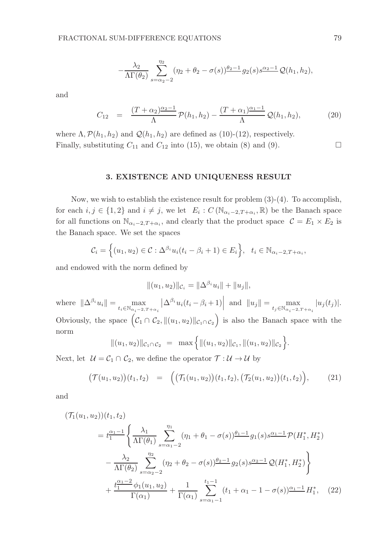$$
-\frac{\lambda_2}{\Lambda\Gamma(\theta_2)}\sum_{s=\alpha_2-2}^{\eta_2}(\eta_2+\theta_2-\sigma(s))\frac{\theta_2-1}{2}g_2(s)s^{\alpha_2-1}\mathcal{Q}(h_1,h_2),
$$

and

$$
C_{12} = \frac{(T + \alpha_2)^{\alpha_2 - 1}}{\Lambda} \mathcal{P}(h_1, h_2) - \frac{(T + \alpha_1)^{\alpha_1 - 1}}{\Lambda} \mathcal{Q}(h_1, h_2), \tag{20}
$$

where  $\Lambda, \mathcal{P}(h_1, h_2)$  and  $\mathcal{Q}(h_1, h_2)$  are defined as (10)-(12), respectively. Finally, substituting  $C_{11}$  and  $C_{12}$  into (15), we obtain (8) and (9).

#### 3. EXISTENCE AND UNIQUENESS RESULT

Now, we wish to establish the existence result for problem  $(3)-(4)$ . To accomplish, for each  $i, j \in \{1, 2\}$  and  $i \neq j$ , we let  $E_i : C(\mathbb{N}_{\alpha_i-2, T+\alpha_i}, \mathbb{R})$  be the Banach space for all functions on  $\mathbb{N}_{\alpha_i-2,T+\alpha_i}$ , and clearly that the product space  $\mathcal{C} = E_1 \times E_2$  is the Banach space. We set the spaces

$$
\mathcal{C}_i = \left\{ (u_1, u_2) \in \mathcal{C} : \Delta^{\beta_i} u_i(t_i - \beta_i + 1) \in E_i \right\}, \quad t_i \in \mathbb{N}_{\alpha_i - 2, T + \alpha_i},
$$

and endowed with the norm defined by

$$
||(u_1, u_2)||_{\mathcal{C}_i} = ||\Delta^{\beta_i} u_i|| + ||u_j||,
$$

where  $\|\Delta^{\beta_i}u_i\| = \max_{t_i \in \mathbb{N}_{\alpha_i-2, T+\alpha_i}}$  $\left| \Delta^{\beta_i} u_i(t_i - \beta_i + 1) \right|$  and  $||u_j|| = \max_{t_j \in \mathbb{N}_{\alpha_i - 2, T + \alpha_i}} |u_j(t_j)|$ . Obviously, the space  $(c_1 \cap c_2, \|(u_1, u_2)\|_{c_1 \cap c_2})$  is also the Banach space with the norm

$$
||(u_1, u_2)||_{\mathcal{C}_1 \cap \mathcal{C}_2} = \max \Big\{||(u_1, u_2)||_{\mathcal{C}_1}, ||(u_1, u_2)||_{\mathcal{C}_2}\Big\}.
$$

Next, let  $\mathcal{U} = \mathcal{C}_1 \cap \mathcal{C}_2$ , we define the operator  $\mathcal{T} : \mathcal{U} \to \mathcal{U}$  by

$$
\big(\mathcal{T}(u_1,u_2)\big)(t_1,t_2) = \Big(\big(\mathcal{T}_1(u_1,u_2)\big)(t_1,t_2),\big(\mathcal{T}_2(u_1,u_2)\big)(t_1,t_2)\Big),\tag{21}
$$

and

$$
(\mathcal{T}_1(u_1, u_2))(t_1, t_2)
$$
\n
$$
= t_1^{\alpha_1 - 1} \left\{ \frac{\lambda_1}{\Lambda \Gamma(\theta_1)} \sum_{s = \alpha_1 - 2}^{\eta_1} (\eta_1 + \theta_1 - \sigma(s)) \frac{\theta_1 - 1}{2} g_1(s) s^{\alpha_1 - 1} \mathcal{P}(H_1^*, H_2^*) \right\}
$$
\n
$$
- \frac{\lambda_2}{\Lambda \Gamma(\theta_2)} \sum_{s = \alpha_2 - 2}^{\eta_2} (\eta_2 + \theta_2 - \sigma(s)) \frac{\theta_2 - 1}{2} g_2(s) s^{\alpha_2 - 1} \mathcal{Q}(H_1^*, H_2^*) \right\}
$$
\n
$$
+ \frac{t_1^{\alpha_1 - 2} \phi_1(u_1, u_2)}{\Gamma(\alpha_1)} + \frac{1}{\Gamma(\alpha_1)} \sum_{s = \alpha_1 - 1}^{t_1 - 1} (t_1 + \alpha_1 - 1 - \sigma(s)) \frac{\alpha_1 - 1}{2} H_1^*, \quad (22)
$$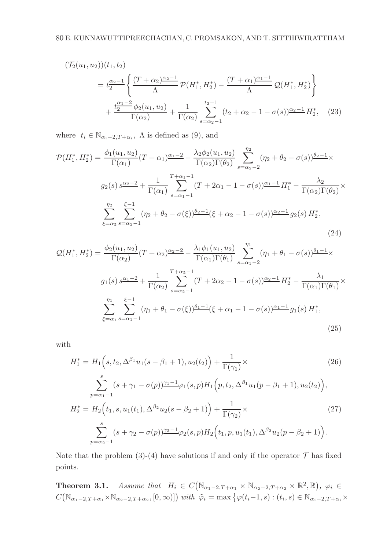$$
(\mathcal{T}_2(u_1, u_2))(t_1, t_2)
$$
  
=  $t_2^{\frac{\alpha_2 - 1}{2}} \left\{ \frac{(T + \alpha_2)^{\frac{\alpha_2 - 1}{2}}}{\Lambda} \mathcal{P}(H_1^*, H_2^*) - \frac{(T + \alpha_1)^{\frac{\alpha_1 - 1}{2}}}{\Lambda} \mathcal{Q}(H_1^*, H_2^*) \right\}$   
+  $\frac{t_2^{\frac{\alpha_1 - 2}{2}} \phi_2(u_1, u_2)}{\Gamma(\alpha_2)} + \frac{1}{\Gamma(\alpha_2)} \sum_{s = \alpha_2 - 1}^{t_2 - 1} (t_2 + \alpha_2 - 1 - \sigma(s))^{\frac{\alpha_2 - 1}{2}} H_2^*,$  (23)

where  $t_i \in \mathbb{N}_{\alpha_i-2,T+\alpha_i}$ ,  $\Lambda$  is defined as (9), and

$$
\mathcal{P}(H_1^*, H_2^*) = \frac{\phi_1(u_1, u_2)}{\Gamma(\alpha_1)} (T + \alpha_1) \frac{\alpha_1 - 2}{\Gamma(\alpha_2)\Gamma(\theta_2)} - \frac{\lambda_2 \phi_2(u_1, u_2)}{\Gamma(\alpha_2)\Gamma(\theta_2)} \sum_{s = \alpha_2 - 2}^{\eta_2} (\eta_2 + \theta_2 - \sigma(s)) \frac{\theta_2 - 1}{\sigma(s)} \times g_2(s) s^{\frac{\alpha_2 - 2}{\Gamma(\alpha_1)}} + \frac{1}{\Gamma(\alpha_1)} \sum_{s = \alpha_1 - 1}^{\gamma + \alpha_1 - 1} (T + 2\alpha_1 - 1 - \sigma(s)) \frac{\alpha_1 - 1}{\Gamma(\alpha_2)\Gamma(\theta_2)} H_1^* - \frac{\lambda_2}{\Gamma(\alpha_2)\Gamma(\theta_2)} \times \sum_{\xi = \alpha_2}^{\eta_2} \sum_{s = \alpha_2 - 1}^{\xi - 1} (\eta_2 + \theta_2 - \sigma(\xi)) \frac{\theta_2 - 1}{\Gamma(\alpha_2 - 1)} (\xi + \alpha_2 - 1 - \sigma(s)) \frac{\alpha_2 - 1}{\Gamma(\alpha_2)} g_2(s) H_2^*,
$$
\n(24)

$$
Q(H_1^*, H_2^*) = \frac{\phi_2(u_1, u_2)}{\Gamma(\alpha_2)} (T + \alpha_2)^{\alpha_2 - 2} - \frac{\lambda_1 \phi_1(u_1, u_2)}{\Gamma(\alpha_1) \Gamma(\theta_1)} \sum_{s = \alpha_1 - 2}^{\eta_1} (\eta_1 + \theta_1 - \sigma(s))^{\theta_1 - 1} \times
$$
  
\n
$$
g_1(s) s^{\alpha_1 - 2} + \frac{1}{\Gamma(\alpha_2)} \sum_{s = \alpha_2 - 1}^{\gamma + \alpha_2 - 1} (T + 2\alpha_2 - 1 - \sigma(s))^{\alpha_2 - 1} H_2^* - \frac{\lambda_1}{\Gamma(\alpha_1) \Gamma(\theta_1)} \times
$$
  
\n
$$
\sum_{\xi = \alpha_1}^{\eta_1} \sum_{s = \alpha_1 - 1}^{\xi - 1} (\eta_1 + \theta_1 - \sigma(\xi))^{\theta_1 - 1} (\xi + \alpha_1 - 1 - \sigma(s))^{\alpha_1 - 1} g_1(s) H_1^*,
$$
\n(25)

with

$$
H_1^* = H_1\Big(s, t_2, \Delta^{\beta_1} u_1(s - \beta_1 + 1), u_2(t_2)\Big) + \frac{1}{\Gamma(\gamma_1)} \times
$$
\n
$$
\sum_{p=\alpha_1-1}^s (s + \gamma_1 - \sigma(p))\frac{\gamma_1 - 1}{\gamma_1} \varphi_1(s, p) H_1\Big(p, t_2, \Delta^{\beta_1} u_1(p - \beta_1 + 1), u_2(t_2)\Big),
$$
\n
$$
H_2^* = H_2\Big(t_1, s, u_1(t_1), \Delta^{\beta_2} u_2(s - \beta_2 + 1)\Big) + \frac{1}{\Gamma(\gamma_2)} \times
$$
\n
$$
\sum_{p=\alpha_2-1}^s (s + \gamma_2 - \sigma(p))\frac{\gamma_2 - 1}{\gamma_2} \varphi_2(s, p) H_2\Big(t_1, p, u_1(t_1), \Delta^{\beta_2} u_2(p - \beta_2 + 1)\Big).
$$
\n(27)

Note that the problem (3)-(4) have solutions if and only if the operator  $\mathcal T$  has fixed points.

**Theorem 3.1.** Assume that  $H_i \in C(\mathbb{N}_{\alpha_1-2,T+\alpha_1} \times \mathbb{N}_{\alpha_2-2,T+\alpha_2} \times \mathbb{R}^2, \mathbb{R}), \varphi_i \in$  $C(\mathbb{N}_{\alpha_1-2,T+\alpha_1}\times\mathbb{N}_{\alpha_2-2,T+\alpha_2},[0,\infty)])$  with  $\tilde{\varphi}_i = \max\big\{\varphi(t_i-1,s) : (t_i,s)\in\mathbb{N}_{\alpha_i-2,T+\alpha_i}\times\mathbb{N}_{\alpha_i-2,T+\alpha_1}\times\mathbb{N}_{\alpha_i-2,T+\alpha_2}\big\}$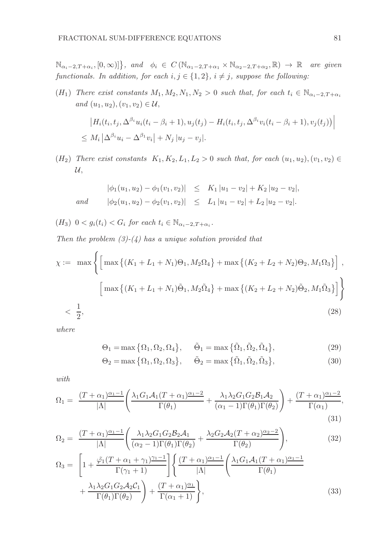$\mathbb{N}_{\alpha_i-2,T+\alpha_i}, [0,\infty)]\}, \text{ and } \phi_i \in C(\mathbb{N}_{\alpha_1-2,T+\alpha_1} \times \mathbb{N}_{\alpha_2-2,T+\alpha_2}, \mathbb{R}) \to \mathbb{R} \text{ are given}$ functionals. In addition, for each  $i, j \in \{1, 2\}$ ,  $i \neq j$ , suppose the following:

(H<sub>1</sub>) There exist constants  $M_1, M_2, N_1, N_2 > 0$  such that, for each  $t_i \in \mathbb{N}_{\alpha_i-2,T+\alpha_i}$ and  $(u_1, u_2), (v_1, v_2) \in \mathcal{U}$ ,

$$
\left| H_i(t_i, t_j, \Delta^{\beta_i} u_i(t_i - \beta_i + 1), u_j(t_j) - H_i(t_i, t_j, \Delta^{\beta_i} v_i(t_i - \beta_i + 1), v_j(t_j)) \right|
$$
  

$$
\leq M_i \left| \Delta^{\beta_i} u_i - \Delta^{\beta_1} v_i \right| + N_j \left| u_j - v_j \right|.
$$

(H<sub>2</sub>) There exist constants  $K_1, K_2, L_1, L_2 > 0$  such that, for each  $(u_1, u_2), (v_1, v_2) \in$  $\mathcal{U},$ 

$$
|\phi_1(u_1, u_2) - \phi_1(v_1, v_2)| \leq K_1 |u_1 - v_2| + K_2 |u_2 - v_2|,
$$
  
and 
$$
|\phi_2(u_1, u_2) - \phi_2(v_1, v_2)| \leq L_1 |u_1 - v_2| + L_2 |u_2 - v_2|.
$$

(H<sub>3</sub>)  $0 < g_i(t_i) < G_i$  for each  $t_i \in \mathbb{N}_{\alpha_i - 2, T + \alpha_i}$ .

Then the problem  $(3)-(4)$  has a unique solution provided that

$$
\chi := \max \left\{ \left[ \max \left\{ (K_1 + L_1 + N_1)\Theta_1, M_2\Omega_4 \right\} + \max \left\{ (K_2 + L_2 + N_2)\Theta_2, M_1\Omega_3 \right\} \right],
$$
  

$$
\left[ \max \left\{ (K_1 + L_1 + N_1)\tilde{\Theta}_1, M_2\tilde{\Omega}_4 \right\} + \max \left\{ (K_2 + L_2 + N_2)\tilde{\Theta}_2, M_1\tilde{\Omega}_3 \right\} \right] \right\}
$$
  

$$
< \frac{1}{2},
$$
 (28)

where

$$
\Theta_1 = \max\left\{\Omega_1, \Omega_2, \Omega_4\right\}, \quad \tilde{\Theta}_1 = \max\left\{\tilde{\Omega}_1, \tilde{\Omega}_2, \tilde{\Omega}_4\right\},\tag{29}
$$

$$
\Theta_2 = \max\left\{\Omega_1, \Omega_2, \Omega_3\right\}, \quad \tilde{\Theta}_2 = \max\left\{\tilde{\Omega}_1, \tilde{\Omega}_2, \tilde{\Omega}_3\right\},\tag{30}
$$

with

$$
\Omega_1 = \frac{(T+\alpha_1)\frac{\alpha_1-1}{\alpha_1}}{|\Lambda|} \left( \frac{\lambda_1 G_1 \mathcal{A}_1 (T+\alpha_1)\frac{\alpha_1-2}{\alpha_1}}{\Gamma(\theta_1)} + \frac{\lambda_1 \lambda_2 G_1 G_2 \mathcal{B}_1 \mathcal{A}_2}{(\alpha_1-1)\Gamma(\theta_1)\Gamma(\theta_2)} \right) + \frac{(T+\alpha_1)\frac{\alpha_1-2}{\alpha_1}}{\Gamma(\alpha_1)},
$$
\n(31)

$$
\Omega_2 = \frac{(T + \alpha_1)^{\alpha_1 - 1}}{|\Lambda|} \left( \frac{\lambda_1 \lambda_2 G_1 G_2 \mathcal{B}_2 \mathcal{A}_1}{(\alpha_2 - 1) \Gamma(\theta_1) \Gamma(\theta_2)} + \frac{\lambda_2 G_2 \mathcal{A}_2 (T + \alpha_2)^{\alpha_2 - 2}}{\Gamma(\theta_2)} \right),\tag{32}
$$

$$
\Omega_3 = \left[1 + \frac{\tilde{\varphi}_1 (T + \alpha_1 + \gamma_1)^{\gamma_1 - 1}}{\Gamma(\gamma_1 + 1)}\right] \left\{ \frac{(T + \alpha_1)^{\alpha_1 - 1}}{|\Lambda|} \left(\frac{\lambda_1 G_1 \mathcal{A}_1 (T + \alpha_1)^{\alpha_1 - 1}}{\Gamma(\theta_1)} + \frac{\lambda_1 \lambda_2 G_1 G_2 \mathcal{A}_2 C_1}{\Gamma(\theta_1) \Gamma(\theta_2)}\right) + \frac{(T + \alpha_1)^{\alpha_1}}{\Gamma(\alpha_1 + 1)} \right\},
$$
\n(33)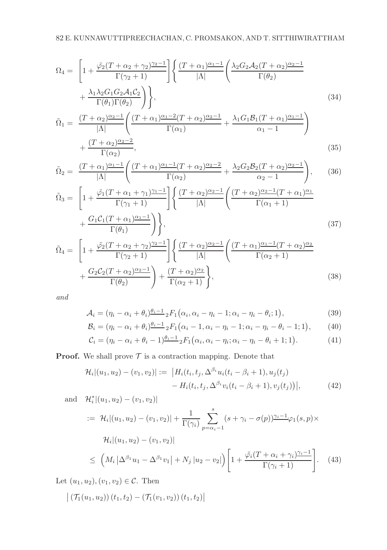$$
\Omega_4 = \left[1 + \frac{\tilde{\varphi}_2 (T + \alpha_2 + \gamma_2)^{\gamma_2 - 1}}{\Gamma(\gamma_2 + 1)}\right] \left\{ \frac{(T + \alpha_1)^{\alpha_1 - 1}}{|\Lambda|} \left(\frac{\lambda_2 G_2 \mathcal{A}_2 (T + \alpha_2)^{\alpha_2 - 1}}{\Gamma(\theta_2)} + \frac{\lambda_1 \lambda_2 G_1 G_2 \mathcal{A}_1 C_2}{\Gamma(\theta_1) \Gamma(\theta_2)}\right) \right\},
$$
\n(34)

$$
\tilde{\Omega}_1 = \frac{(T + \alpha_2)^{\alpha_2 - 1}}{|\Lambda|} \left( \frac{(T + \alpha_1)^{\alpha_1 - 2} (T + \alpha_2)^{\alpha_2 - 1}}{\Gamma(\alpha_1)} + \frac{\lambda_1 G_1 \mathcal{B}_1 (T + \alpha_1)^{\alpha_1 - 1}}{\alpha_1 - 1} \right) + \frac{(T + \alpha_2)^{\alpha_2 - 2}}{\Gamma(\alpha_2)},
$$
\n(35)

$$
\tilde{\Omega}_2 = \frac{(T + \alpha_1)^{\alpha_1 - 1}}{|\Lambda|} \left( \frac{(T + \alpha_1)^{\alpha_1 - 1} (T + \alpha_2)^{\alpha_2 - 2}}{\Gamma(\alpha_2)} + \frac{\lambda_2 G_2 \mathcal{B}_2 (T + \alpha_2)^{\alpha_2 - 1}}{\alpha_2 - 1} \right), \quad (36)
$$

$$
\tilde{\Omega}_3 = \left[1 + \frac{\tilde{\varphi}_1(T + \alpha_1 + \gamma_1)^{\gamma_1 - 1}}{\Gamma(\gamma_1 + 1)}\right] \left\{ \frac{(T + \alpha_2)^{\alpha_2 - 1}}{|\Lambda|} \left(\frac{(T + \alpha_2)^{\alpha_2 - 1}(T + \alpha_1)^{\alpha_1}}{\Gamma(\alpha_1 + 1)} + \frac{G_1 C_1 (T + \alpha_1)^{\alpha_1 - 1}}{\Gamma(\theta_1)}\right) \right\},\tag{37}
$$

$$
\tilde{\Omega}_4 = \left[1 + \frac{\tilde{\varphi}_2(T + \alpha_2 + \gamma_2)^{\gamma_2 - 1}}{\Gamma(\gamma_2 + 1)}\right] \left\{ \frac{(T + \alpha_2)^{\alpha_2 - 1}}{|\Lambda|} \left(\frac{(T + \alpha_1)^{\alpha_1 - 1}(T + \alpha_2)^{\alpha_2}}{\Gamma(\alpha_2 + 1)} + \frac{G_2 C_2 (T + \alpha_2)^{\alpha_2 - 1}}{\Gamma(\theta_2)}\right) + \frac{(T + \alpha_2)^{\alpha_2}}{\Gamma(\alpha_2 + 1)} \right\},\tag{38}
$$

and

$$
\mathcal{A}_i = (\eta_i - \alpha_i + \theta_i) \frac{\theta_i - 1}{2} F_1(\alpha_i, \alpha_i - \eta_i - 1; \alpha_i - \eta_i - \theta_i; 1),
$$
\n(39)

$$
\mathcal{B}_i = (\eta_i - \alpha_i + \theta_i) \frac{\theta_i - 1}{2} F_1 \big( \alpha_i - 1, \alpha_i - \eta_i - 1; \alpha_i - \eta_i - \theta_i - 1; 1 \big), \tag{40}
$$

$$
\mathcal{C}_i = (\eta_i - \alpha_i + \theta_i - 1)^{\underline{\theta_i - 1}} {}_2F_1\big(\alpha_i, \alpha_i - \eta_i; \alpha_i - \eta_i - \theta_i + 1; 1\big). \tag{41}
$$

**Proof.** We shall prove  $\mathcal T$  is a contraction mapping. Denote that

$$
\mathcal{H}_i|(u_1, u_2) - (v_1, v_2)| := |H_i(t_i, t_j, \Delta^{\beta_i} u_i(t_i - \beta_i + 1), u_j(t_j) - H_i(t_i, t_j, \Delta^{\beta_i} v_i(t_i - \beta_i + 1), v_j(t_j))|,
$$
\n(42)

and 
$$
\mathcal{H}_{i}^{*} | (u_{1}, u_{2}) - (v_{1}, v_{2}) |
$$
  
\n
$$
:= \mathcal{H}_{i} | (u_{1}, u_{2}) - (v_{1}, v_{2}) | + \frac{1}{\Gamma(\gamma_{i})} \sum_{p=\alpha_{i}-1}^{s} (s + \gamma_{i} - \sigma(p))^{\gamma_{i}-1} \varphi_{1}(s, p) \times
$$
\n
$$
\mathcal{H}_{i} | (u_{1}, u_{2}) - (v_{1}, v_{2}) |
$$
\n
$$
\leq \left( M_{i} \left| \Delta^{\beta_{1}} u_{1} - \Delta^{\beta_{1}} v_{1} \right| + N_{j} \left| u_{2} - v_{2} \right| \right) \left[ 1 + \frac{\tilde{\varphi}_{i} (T + \alpha_{i} + \gamma_{i})^{\gamma_{i}-1}}{\Gamma(\gamma_{i} + 1)} \right]. \quad (43)
$$

Let  $(u_1, u_2), (v_1, v_2) \in \mathcal{C}$ . Then

$$
\left| \left( \mathcal{T}_1(u_1, u_2) \right) (t_1, t_2) - \left( \mathcal{T}_1(v_1, v_2) \right) (t_1, t_2) \right|
$$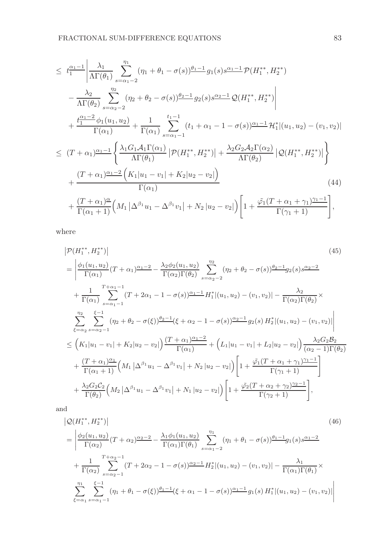$$
\leq t_1^{\alpha_1-1} \left| \frac{\lambda_1}{\Lambda \Gamma(\theta_1)} \sum_{s=\alpha_1-2}^{\eta_1} (\eta_1 + \theta_1 - \sigma(s)) \frac{\theta_1 - 1}{\theta_1(s)} g_1(s) s^{\alpha_1-1} \mathcal{P}(H_1^{**}, H_2^{**}) \right| \n- \frac{\lambda_2}{\Lambda \Gamma(\theta_2)} \sum_{s=\alpha_2-2}^{\eta_2} (\eta_2 + \theta_2 - \sigma(s)) \frac{\theta_2 - 1}{\theta_2(s)} g_2(s) s^{\alpha_2-1} \mathcal{Q}(H_1^{**}, H_2^{**}) \right| \n+ \frac{t_1^{\alpha_1-2}}{\Gamma(\alpha_1)} \phi_1(u_1, u_2) + \frac{1}{\Gamma(\alpha_1)} \sum_{s=\alpha_1-1}^{t_1-1} (t_1 + \alpha_1 - 1 - \sigma(s)) \frac{\alpha_1-1}{\theta_1} \mathcal{H}_1^{*} |(u_1, u_2) - (v_1, v_2)| \n\leq (T + \alpha_1) \frac{\alpha_1-1}{\theta_1} \left\{ \frac{\lambda_1 G_1 \mathcal{A}_1 \Gamma(\alpha_1)}{\Lambda \Gamma(\theta_1)} \left| \mathcal{P}(H_1^{**}, H_2^{**}) \right| + \frac{\lambda_2 G_2 \mathcal{A}_2 \Gamma(\alpha_2)}{\Lambda \Gamma(\theta_2)} \left| \mathcal{Q}(H_1^{**}, H_2^{**}) \right| \right\} \n+ \frac{(T + \alpha_1) \frac{\alpha_1-2}{\theta_1} \left( K_1 |u_1 - v_1| + K_2 |u_2 - v_2| \right)}{\Gamma(\alpha_1)} \frac{(44)}{\Gamma(\alpha_1+1)} \left( M_1 |\Delta^{\beta_1} u_1 - \Delta^{\beta_1} v_1| + N_2 |u_2 - v_2| \right) \left[ 1 + \frac{\tilde{\varphi}_1 (T + \alpha_1 + \gamma_1) \frac{\gamma_1-1}{\theta_1} \mathcal{H}_1^{*} \mathcal{H}_1^{*}}{\Gamma(\gamma_1+1)} \right],
$$

where

$$
|\mathcal{P}(H_{1}^{**}, H_{2}^{**})| \qquad (45)
$$
\n
$$
= \left| \frac{\phi_{1}(u_{1}, u_{2})}{\Gamma(\alpha_{1})} (T + \alpha_{1}) \frac{\alpha_{1} - 2}{\Gamma(\alpha_{2}) \Gamma(\theta_{2})} - \frac{\lambda_{2} \phi_{2}(u_{1}, u_{2})}{\Gamma(\alpha_{2}) \Gamma(\theta_{2})} \sum_{s=\alpha_{2} - 2}^{n_{2}} (n_{2} + \theta_{2} - \sigma(s)) \frac{\theta_{2} - 1}{2} g_{2}(s) s^{\frac{\alpha_{2} - 2}{2}} + \frac{1}{\Gamma(\alpha_{1})} \sum_{s=\alpha_{1} - 1}^{T + \alpha_{1} - 1} (T + 2\alpha_{1} - 1 - \sigma(s)) \frac{\alpha_{1} - 1}{\Gamma(\alpha_{1})} H_{1}^{*} |(u_{1}, u_{2}) - (v_{1}, v_{2})| - \frac{\lambda_{2}}{\Gamma(\alpha_{2}) \Gamma(\theta_{2})} \times \sum_{\xi=\alpha_{2}}^{n_{2}} \sum_{s=\alpha_{2} - 1}^{x_{-1}} (n_{2} + \theta_{2} - \sigma(\xi)) \frac{\theta_{2} - 1}{2} (\xi + \alpha_{2} - 1 - \sigma(s)) \frac{\alpha_{2} - 1}{2} g_{2}(s) H_{2}^{*} |(u_{1}, u_{2}) - (v_{1}, v_{2})| \right| \leq (K_{1}|u_{1} - v_{1}| + K_{2}|u_{2} - v_{2}|) \frac{(T + \alpha_{1})\alpha_{1} - 2}{\Gamma(\alpha_{1})} + (L_{1}|u_{1} - v_{1}| + L_{2}|u_{2} - v_{2}|) \frac{\lambda_{2} G_{2} B_{2}}{(\alpha_{2} - 1) \Gamma(\theta_{2})} + \frac{(T + \alpha_{1})\frac{\alpha_{1}}{\Gamma(\alpha_{1} + 1)}}{\Gamma(\alpha_{1} + 1)} (M_{1} |\Delta^{\beta_{1}} u_{1} - \Delta^{\beta_{1}} v_{1}| + N_{2}|u_{2} - v_{2}|) \left[ 1 + \frac{\tilde{\varphi}_{1}(T + \alpha_{1} + \gamma_{1}) \frac{\gamma_{1} - 1}{\Gamma(\gamma_{1} + 1)}}{\Gamma(\gamma_{2} + 1)} \right],
$$
\n
$$
+ \frac{\lambda_{2} G_{2} C
$$

and

$$
\begin{split}\n&\left|\mathcal{Q}(H_{1}^{**},H_{2}^{**})\right| \\
&=\left|\frac{\phi_{2}(u_{1},u_{2})}{\Gamma(\alpha_{2})}(T+\alpha_{2})^{\frac{\alpha_{2}-2}{2}}-\frac{\lambda_{1}\phi_{1}(u_{1},u_{2})}{\Gamma(\alpha_{1})\Gamma(\theta_{1})}\sum_{s=\alpha_{1}-2}^{\eta_{1}}(\eta_{1}+\theta_{1}-\sigma(s))^{\frac{\theta_{1}-1}{2}}g_{1}(s)s^{\frac{\alpha_{1}-2}{2}} \\
&+\frac{1}{\Gamma(\alpha_{2})}\sum_{s=\alpha_{2}-1}^{T+\alpha_{2}-1}(T+2\alpha_{2}-1-\sigma(s))^{\frac{\alpha_{2}-1}{2}}H_{2}^{*}\left|(u_{1},u_{2})-(v_{1},v_{2})\right|-\frac{\lambda_{1}}{\Gamma(\alpha_{1})\Gamma(\theta_{1})}\times \\
&\sum_{\xi=\alpha_{1}}^{n_{1}}\sum_{s=\alpha_{1}-1}^{\xi-1}(\eta_{1}+\theta_{1}-\sigma(\xi))^{\frac{\theta_{1}-1}{2}}(\xi+\alpha_{1}-1-\sigma(s))^{\frac{\alpha_{1}-1}{2}}g_{1}(s)H_{1}^{*}\left|(u_{1},u_{2})-(v_{1},v_{2})\right|\n\end{split}
$$
\n
$$
(46)
$$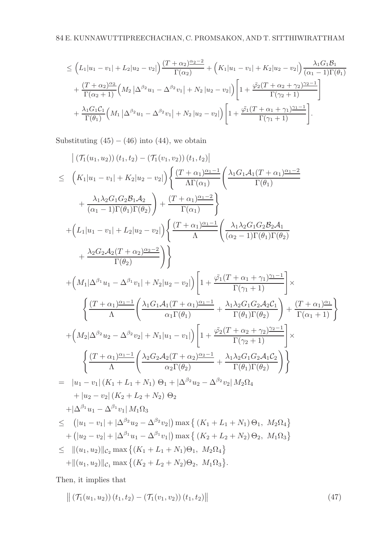$$
\leq \left(L_{1}|u_{1}-v_{1}|+L_{2}|u_{2}-v_{2}|\right)\frac{(T+\alpha_{2})^{\alpha_{2}-2}}{\Gamma(\alpha_{2})}+\left(K_{1}|u_{1}-v_{1}|+K_{2}|u_{2}-v_{2}|\right)\frac{\lambda_{1}G_{1}\mathcal{B}_{1}}{(\alpha_{1}-1)\Gamma(\theta_{1})} +\frac{(T+\alpha_{2})^{\alpha_{2}}}{\Gamma(\alpha_{2}+1)}\left(M_{2}\left|\Delta^{\beta_{2}}u_{1}-\Delta^{\beta_{2}}v_{1}\right|+N_{2}\left|u_{2}-v_{2}\right|\right)\left[1+\frac{\tilde{\varphi}_{2}(T+\alpha_{2}+\gamma_{2})^{\gamma_{2}-1}}{\Gamma(\gamma_{2}+1)}\right] +\frac{\lambda_{1}G_{1}C_{1}}{\Gamma(\theta_{1})}\left(M_{1}\left|\Delta^{\beta_{2}}u_{1}-\Delta^{\beta_{2}}v_{1}\right|+N_{2}\left|u_{2}-v_{2}\right|\right)\left[1+\frac{\tilde{\varphi}_{1}(T+\alpha_{1}+\gamma_{1})^{\gamma_{1}-1}}{\Gamma(\gamma_{1}+1)}\right].
$$

Substituting  $(45) - (46)$  into  $(44)$ , we obtain

$$
\begin{split} &\left| \left( \mathcal{T}_{1}(u_{1},u_{2}) \right)(t_{1},t_{2}) - \left( \mathcal{T}_{1}(v_{1},v_{2}) \right)(t_{1},t_{2}) \right| \\ & \leq \left. \left( K_{1}|u_{1}-v_{1}| + K_{2}|u_{2}-v_{2}| \right) \left\{ \frac{\left( T+\alpha_{1} \right) \frac{\alpha_{1}-1}{\alpha_{1}}}{\Lambda \Gamma(\alpha_{1})} \left( \frac{\lambda_{1} G_{1} \mathcal{A}_{1} (T+\alpha_{1}) \frac{\alpha_{1}-2}{\alpha_{1}}}{\Gamma(\theta_{1})} \right.\right. \\ & \left. + \left. \frac{\lambda_{1} \lambda_{2} G_{1} G_{2} \mathcal{B}_{1} \mathcal{A}_{2}}{\left( \alpha_{1}-1 \right) \Gamma(\theta_{1}) \Gamma(\theta_{2})} \right) + \left. \frac{\left( T+\alpha_{1} \right) \frac{\alpha_{1}-2}{\alpha_{1}}}{\Lambda} \right\} \right. \\ & \left. + \left( L_{1}|u_{1}-v_{1}| + L_{2}|u_{2}-v_{2}| \right) \left\{ \frac{\left( T+\alpha_{1} \right) \frac{\alpha_{1}-1}{\alpha_{1}}}{\Lambda} \left( \frac{\lambda_{1} \lambda_{2} G_{1} G_{2} \mathcal{B}_{2} \mathcal{A}_{1}}{\left( \alpha_{2}-1 \right) \Gamma(\theta_{1}) \Gamma(\theta_{2})} \right.\right. \\ & \left. + \left. \frac{\lambda_{2} G_{2} \mathcal{A}_{2} (T+\alpha_{2}) \frac{\alpha_{2}-2}{\alpha_{2}}}{\Gamma(\theta_{2})} \right) \right\} \right] \left. + \left. \frac{\sqrt{\left( T+\alpha_{1} + \gamma_{1} \right) \frac{\gamma_{1}-1}{\alpha_{1}}} \left( \lambda_{1} G_{1} \mathcal{A}_{1} (T+\alpha_{1}) \frac{\alpha_{1}-1}{\alpha_{1}} \right. \right. \\ & \left. \left\{ \frac{\left( T+\alpha_{1} \right) \frac{\alpha_{1}-1}{\alpha_{1}}}{\Lambda} \left( \frac{\lambda_{1} G_{1} \mathcal{A}_{1} (T+\alpha_{1}) \frac{\alpha_{1}-1}{\alpha_{1}}}{\Gamma(\theta_{1}) \Gamma(\theta_{2})} \right) + \frac{\left( T+\alpha_{1} \right) \frac{\alpha_{1}}{\alpha_{1}}}
$$

Then, it implies that

$$
\| (\mathcal{T}_1(u_1, u_2)) (t_1, t_2) - (\mathcal{T}_1(v_1, v_2)) (t_1, t_2) \|
$$
\n(47)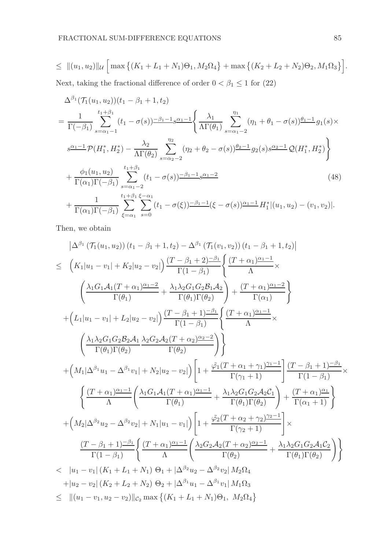$$
\leq \| (u_1, u_2) \|_{\mathcal{U}} \left[ \max \left\{ (K_1 + L_1 + N_1) \Theta_1, M_2 \Omega_4 \right\} + \max \left\{ (K_2 + L_2 + N_2) \Theta_2, M_1 \Omega_3 \right\} \right].
$$

Next, taking the fractional difference of order  $0 < \beta_1 \leq 1$  for (22)

$$
\Delta^{\beta_{1}}(\mathcal{T}_{1}(u_{1}, u_{2}))(t_{1} - \beta_{1} + 1, t_{2})
$$
\n
$$
= \frac{1}{\Gamma(-\beta_{1})} \sum_{s=\alpha_{1}-1}^{t_{1}+\beta_{1}} (t_{1} - \sigma(s)) \frac{-\beta_{1}-1}{s_{1}+\beta_{2}} s^{\alpha_{1}-1} \left\{ \frac{\lambda_{1}}{\Lambda\Gamma(\theta_{1})} \sum_{s=\alpha_{1}-2}^{\eta_{1}} (\eta_{1} + \theta_{1} - \sigma(s)) \frac{\theta_{1}-1}{s_{1}+\beta_{1}} g_{1}(s) \times s^{\alpha_{1}-1} \mathcal{P}(H_{1}^{*}, H_{2}^{*}) - \frac{\lambda_{2}}{\Lambda\Gamma(\theta_{2})} \sum_{s=\alpha_{2}-2}^{\eta_{2}} (\eta_{2} + \theta_{2} - \sigma(s)) \frac{\theta_{2}-1}{s_{2}+\beta_{2}} g_{2}(s) s^{\alpha_{2}-1} \mathcal{Q}(H_{1}^{*}, H_{2}^{*}) \right\}
$$
\n
$$
+ \frac{\phi_{1}(u_{1}, u_{2})}{\Gamma(\alpha_{1})\Gamma(-\beta_{1})} \sum_{s=\alpha_{1}-2}^{t_{1}+\beta_{1}} (t_{1} - \sigma(s)) \frac{-\beta_{1}-1}{s_{1}+\beta_{1}-1} s^{\alpha_{1}-2} \qquad (48)
$$
\n
$$
+ \frac{1}{\Gamma(\alpha_{1})\Gamma(-\beta_{1})} \sum_{\xi=\alpha_{1}}^{t_{1}+\beta_{1}} \sum_{s=0}^{\xi-\alpha_{1}} (t_{1} - \sigma(\xi)) \frac{-\beta_{1}-1}{s_{1}-1} (\xi - \sigma(s)) \frac{\alpha_{1}-1}{s_{1}+\beta_{1}} H_{1}^{*} |(u_{1}, u_{2}) - (v_{1}, v_{2}) |.
$$

Then, we obtain

$$
\left| \Delta^{\beta_{1}} \left( \mathcal{T}_{1}(u_{1}, u_{2}) \right) (t_{1} - \beta_{1} + 1, t_{2}) - \Delta^{\beta_{1}} \left( \mathcal{T}_{1}(v_{1}, v_{2}) \right) (t_{1} - \beta_{1} + 1, t_{2}) \right|
$$
\n
$$
\leq \left( K_{1}|u_{1} - v_{1}| + K_{2}|u_{2} - v_{2}| \right) \frac{(T - \beta_{1} + 2)^{-\beta_{1}}}{\Gamma(1 - \beta_{1})} \left\{ \frac{(T + \alpha_{1})^{\alpha_{1} - 1}}{\Lambda} \times \left( \frac{\lambda_{1} G_{1} A_{1} (T + \alpha_{1})^{\alpha_{1} - 2}}{\Gamma(\theta_{1})} + \frac{\lambda_{1} \lambda_{2} G_{1} G_{2} B_{1} A_{2}}{\Gamma(\theta_{1}) \Gamma(\theta_{2})} \right) + \frac{(T + \alpha_{1})^{\alpha_{1} - 2}}{\Gamma(\alpha_{1})} \right\}
$$
\n
$$
+ \left( L_{1}|u_{1} - v_{1}| + L_{2}|u_{2} - v_{2}| \right) \frac{(T - \beta_{1} + 1)^{-\beta_{1}}}{\Gamma(1 - \beta_{1})} \left\{ \frac{(T + \alpha_{1})^{\alpha_{1} - 1}}{\Lambda} \times \left( \frac{\lambda_{1} \lambda_{2} G_{1} G_{2} B_{2} A_{1}}{\Gamma(\theta_{1}) \Gamma(\theta_{2})} + \frac{\lambda_{2} G_{2} A_{2} (T + \alpha_{2})^{\alpha_{2} - 2}}{\Gamma(\theta_{2})} \right) \right\}
$$
\n
$$
+ \left( M_{1} | \Delta^{\beta_{1}} u_{1} - \Delta^{\beta_{1}} v_{1} | + N_{2} |u_{2} - v_{2}| \right) \left[ 1 + \frac{\tilde{\varphi_{1}}(T + \alpha_{1} + \gamma_{1})^{\gamma_{1} - 1}}{\Gamma(\gamma_{1} + 1)} \right] \frac{(T - \beta_{1} + 1)^{-\beta_{1}}}{\Gamma(1 - \beta_{1})} \times \left\{ \frac{(T + \alpha_{1})^{\alpha_{1} - 1}}{\Lambda} \left( \frac{\lambda_{1} G_{1} A_{1} (T + \alpha_{1})^{\alpha_{1} - 1}}{\Gamma(\theta_{1})} + \frac{\lambda_{
$$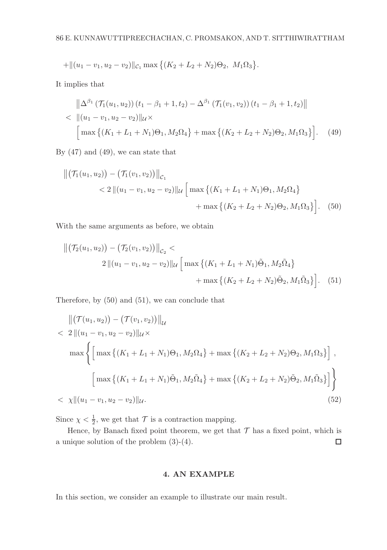$$
+\|(u_1-v_1,u_2-v_2)\|_{\mathcal{C}_1}\max\{(K_2+L_2+N_2)\Theta_2,\ M_1\Omega_3\}.
$$

It implies that

$$
\|\Delta^{\beta_1} (\mathcal{T}_1(u_1, u_2)) (t_1 - \beta_1 + 1, t_2) - \Delta^{\beta_1} (\mathcal{T}_1(v_1, v_2)) (t_1 - \beta_1 + 1, t_2) \| \n< ||(u_1 - v_1, u_2 - v_2)||_{\mathcal{U}} \times \left[ \max \{ (K_1 + L_1 + N_1)\Theta_1, M_2\Omega_4 \} + \max \{ (K_2 + L_2 + N_2)\Theta_2, M_1\Omega_3 \} \right].
$$
 (49)

By (47) and (49), we can state that

$$
\| (\mathcal{T}_1(u_1, u_2)) - (\mathcal{T}_1(v_1, v_2)) \|_{\mathcal{C}_1}
$$
  
< 
$$
< 2 \| (u_1 - v_1, u_2 - v_2) \|_{\mathcal{U}} \left[ \max \left\{ (K_1 + L_1 + N_1) \Theta_1, M_2 \Omega_4 \right\} + \max \left\{ (K_2 + L_2 + N_2) \Theta_2, M_1 \Omega_3 \right\} \right].
$$
 (50)

With the same arguments as before, we obtain

$$
\|(\mathcal{T}_2(u_1, u_2)) - (\mathcal{T}_2(v_1, v_2))\|_{\mathcal{C}_2} <
$$
  
2  $||(u_1 - v_1, u_2 - v_2)||_{\mathcal{U}} \left[ \max \{ (K_1 + L_1 + N_1) \tilde{\Theta}_1, M_2 \tilde{\Omega}_4 \} + \max \{ (K_2 + L_2 + N_2) \tilde{\Theta}_2, M_1 \tilde{\Omega}_3 \} \right].$  (51)

Therefore, by (50) and (51), we can conclude that

$$
\|(\mathcal{T}(u_1, u_2)) - (\mathcal{T}(v_1, v_2))\|_{\mathcal{U}} \n< 2 \| (u_1 - v_1, u_2 - v_2) \|_{\mathcal{U}} \times \n\max \left\{ \left[ \max \left\{ (K_1 + L_1 + N_1)\Theta_1, M_2\Omega_4 \right\} + \max \left\{ (K_2 + L_2 + N_2)\Theta_2, M_1\Omega_3 \right\} \right], \right.\\
\left. \left[ \max \left\{ (K_1 + L_1 + N_1)\tilde{\Theta}_1, M_2\tilde{\Omega}_4 \right\} + \max \left\{ (K_2 + L_2 + N_2)\tilde{\Theta}_2, M_1\tilde{\Omega}_3 \right\} \right] \right\} \n
$$
\times \left\| (u_1 - v_1, u_2 - v_2) \right\|_{\mathcal{U}}.
$$
\n(52)
$$

Since  $\chi < \frac{1}{2}$ , we get that  $\mathcal T$  is a contraction mapping.

Hence, by Banach fixed point theorem, we get that  $\mathcal T$  has a fixed point, which is a unique solution of the problem (3)-(4).  $\Box$ 

### 4. AN EXAMPLE

In this section, we consider an example to illustrate our main result.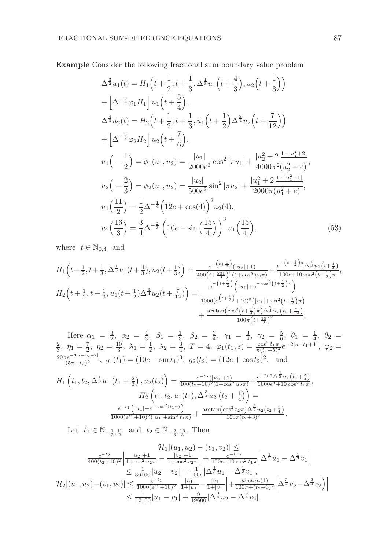Example Consider the following fractional sum boundary value problem

$$
\Delta^{\frac{3}{2}}u_1(t) = H_1\left(t + \frac{1}{2}, t + \frac{1}{3}, \Delta^{\frac{1}{3}}u_1\left(t + \frac{4}{3}\right), u_2\left(t + \frac{1}{3}\right)\right)
$$
  
+  $\left[\Delta^{-\frac{3}{4}}\varphi_1 H_1\right]u_1\left(t + \frac{5}{4}\right),$   

$$
\Delta^{\frac{4}{3}}u_2(t) = H_2\left(t + \frac{1}{2}, t + \frac{1}{3}, u_1\left(t + \frac{1}{2}\right)\Delta^{\frac{3}{4}}u_2\left(t + \frac{7}{12}\right)\right)
$$
  
+  $\left[\Delta^{-\frac{3}{4}}\varphi_2 H_2\right]u_2\left(t + \frac{7}{6}\right),$   

$$
u_1\left(-\frac{1}{2}\right) = \phi_1(u_1, u_2) = \frac{|u_1|}{2000e^3}\cos^2|\pi u_1| + \frac{|u_2^2 + 2|\frac{1 - |u_2^2 + 2|}{4000\pi^2(u_2^2 + e)}},
$$
  

$$
u_2\left(-\frac{2}{3}\right) = \phi_2(u_1, u_2) = \frac{|u_2|}{500e^2}\sin^2|\pi u_2| + \frac{|u_1^2 + 2|\frac{1 - |u_1^2 + 1|}{2000\pi(u_1^2 + e)}},
$$
  

$$
u_1\left(\frac{11}{2}\right) = \frac{1}{2}\Delta^{-\frac{1}{4}}\left(12e + \cos(4)\right)^2 u_2(4),
$$
  

$$
u_2\left(\frac{16}{3}\right) = \frac{3}{4}\Delta^{-\frac{2}{3}}\left(10e - \sin\left(\frac{15}{4}\right)\right)^3 u_1\left(\frac{15}{4}\right),
$$
 (53)

where  $t \in \mathbb{N}_{0,4}$  and

$$
H_{1}\left(t+\frac{1}{2},t+\frac{1}{3},\Delta^{\frac{1}{3}}u_{1}(t+\frac{4}{3}),u_{2}(t+\frac{1}{3})\right) = \frac{e^{-\left(t+\frac{1}{3}\right)}\left(|u_{2}|+1\right)}{400\left(t+\frac{301}{3}\right)^{2}\left(1+\cos^{2}u_{2}\pi\right)} + \frac{e^{-\left(t+\frac{1}{2}\right)\pi}\Delta^{\frac{1}{3}}u_{1}(t+\frac{4}{3})}{100e+10\cos^{2}\left(t+\frac{1}{2}\right)\pi},
$$
\n
$$
H_{2}\left(t+\frac{1}{2},t+\frac{1}{3},u_{1}(t+\frac{1}{2})\Delta^{\frac{3}{4}}u_{2}(t+\frac{7}{12})\right) = \frac{e^{-\left(t+\frac{1}{2}\right)}\left(|u_{1}|+e^{-\cos^{2}\left(t+\frac{1}{2}\right)\pi}\right)}{1000\left(e^{\left(t+\frac{1}{2}\right)}+10\right)^{2}\left(|u_{1}|+\sin^{2}\left(t+\frac{1}{2}\right)\pi\right)}
$$
\n
$$
+ \frac{\arctan\left(\cos^{2}\left(t+\frac{1}{3}\right)\pi\right)\Delta^{\frac{3}{4}}u_{2}\left(t+\frac{7}{12}\right)}{100\pi\left(t+\frac{10}{3}\right)^{2}}.
$$

Here  $\alpha_1 = \frac{3}{2}$ ,  $\alpha_2 = \frac{4}{3}$ ,  $\beta_1 = \frac{1}{3}$ ,  $\beta_2 = \frac{3}{4}$ ,  $\gamma_1 = \frac{3}{4}$ ,  $\gamma_2 = \frac{5}{6}$ ,  $\theta_1 = \frac{1}{4}$ ,  $\theta_2 =$  $\frac{2}{3}$ ,  $\eta_1 = \frac{7}{2}$ ,  $\eta_2 = \frac{10}{3}$ ,  $\lambda_1 = \frac{1}{2}$ ,  $\lambda_2 = \frac{3}{4}$ ,  $T = 4$ ,  $\varphi_1(t_1, s) = \frac{\cos^2 t_1 \pi}{\pi (t_1 + 5)^2} e^{-2|s - t_1 + 1|}$ ,  $\varphi_2 =$  $\frac{20\pi e^{-3|s-t_2+2|}}{(5\pi+t_2)^2}$ ,  $g_1(t_1) = (10e - \sin t_1)^3$ ,  $g_2(t_2) = (12e + \cos t_2)^2$ , and

$$
H_1\left(t_1, t_2, \Delta^{\frac{1}{3}} u_1\left(t_1 + \frac{2}{3}\right), u_2(t_2)\right) = \frac{e^{-t_2}(|u_2|+1)}{400(t_2+10)^2(1+\cos^2 u_2\pi)} + \frac{e^{-t_1\pi} \Delta^{\frac{1}{3}} u_1\left(t_1 + \frac{2}{3}\right)}{1000e^3 + 10\cos^2 t_1\pi},
$$

$$
H_2\left(t_1, t_2, u_1(t_1), \Delta^{\frac{3}{4}} u_2\left(t_2 + \frac{1}{4}\right)\right) =
$$

$$
\frac{e^{-t_1}\left(|u_1| + e^{-\cos^2(t_1\pi)}\right)}{1000(e^{t_1} + 10)^2(|u_1| + \sin^2 t_1\pi)} + \frac{\arctan(\cos^2 t_2\pi) \Delta^{\frac{3}{4}} u_2\left(t_2 + \frac{1}{4}\right)}{100\pi(t_2+3)^2}.
$$

Let  $t_1 \in \mathbb{N}_{-\frac{1}{2},\frac{11}{2}}$  and  $t_2 \in \mathbb{N}_{-\frac{2}{3},\frac{16}{3}}$ . Then

$$
\mathcal{H}_{1}|(u_{1}, u_{2}) - (v_{1}, v_{2})| \leq
$$
\n
$$
\frac{e^{-t_{2}}}{400(t_{2}+10)^{2}} \left| \frac{|u_{2}|+1}{1+\cos^{2} u_{2}\pi} - \frac{|v_{2}|+1}{1+\cos^{2} v_{2}\pi} \right| + \frac{e^{-t_{1}\pi}}{100e+10 \cos^{2} t_{1}\pi} \left| \Delta^{\frac{1}{3}} u_{1} - \Delta^{\frac{1}{3}} v_{1} \right|
$$
\n
$$
\leq \frac{1}{36100} |u_{2} - v_{2}| + \frac{1}{100e} |\Delta^{\frac{1}{3}} u_{1} - \Delta^{\frac{1}{3}} v_{1}|,
$$
\n
$$
\mathcal{H}_{2}|(u_{1}, u_{2}) - (v_{1}, v_{2})| \leq \frac{e^{-t_{1}}}{1000(e^{t_{1}}+10)^{2}} \left| \frac{|u_{1}|}{1+|u_{1}|} - \frac{|v_{1}|}{1+|v_{1}|} \right| + \frac{\arctan(1)}{100\pi + (t_{2}+3)^{2}} \left| \Delta^{\frac{3}{4}} u_{2} - \Delta^{\frac{3}{4}} v_{2} \right|
$$
\n
$$
\leq \frac{1}{12100} |u_{1} - v_{1}| + \frac{9}{19600} |\Delta^{\frac{3}{4}} u_{2} - \Delta^{\frac{3}{4}} v_{2}|.
$$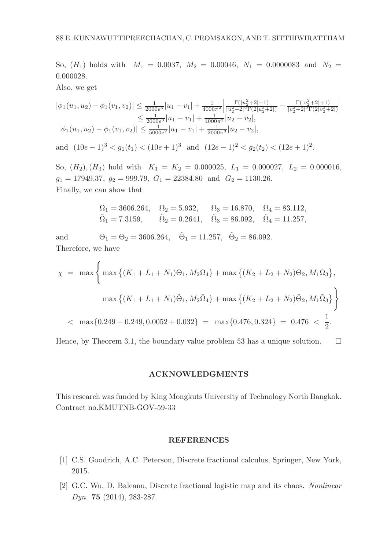So,  $(H_1)$  holds with  $M_1 = 0.0037$ ,  $M_2 = 0.00046$ ,  $N_1 = 0.0000083$  and  $N_2 =$ 0.000028.

Also, we get

$$
|\phi_1(u_1, u_2) - \phi_1(v_1, v_2)| \le \frac{1}{2000e^3} |u_1 - v_1| + \frac{1}{4000\pi^2} \left| \frac{\Gamma(|u_2^2 + 2| + 1)}{|u_2^2 + 2|^2 \Gamma(2|u_2^2 + 2|)} - \frac{\Gamma(|v_2^2 + 2| + 1)}{|v_2^2 + 2|^2 \Gamma(2|v_2^2 + 2|)} \right|
$$
  

$$
\le \frac{1}{2000e^3} |u_1 - v_1| + \frac{1}{4000\pi^2} |u_2 - v_2|,
$$
  

$$
|\phi_1(u_1, u_2) - \phi_1(v_1, v_2)| \le \frac{1}{5000e^2} |u_1 - v_1| + \frac{1}{2000\pi^3} |u_2 - v_2|,
$$

and  $(10e-1)^3 < g_1(t_1) < (10e+1)^3$  and  $(12e-1)^2 < g_2(t_2) < (12e+1)^2$ .

So,  $(H_2)$ ,  $(H_3)$  hold with  $K_1 = K_2 = 0.000025$ ,  $L_1 = 0.000027$ ,  $L_2 = 0.000016$ ,  $g_1 = 17949.37, g_2 = 999.79, G_1 = 22384.80 \text{ and } G_2 = 1130.26.$ Finally, we can show that

$$
\begin{aligned} \Omega_1 &= 3606.264, & \Omega_2 &= 5.932, & \Omega_3 &= 16.870, & \Omega_4 &= 83.112, \\ \tilde{\Omega}_1 &= 7.3159, & \tilde{\Omega}_2 &= 0.2641, & \tilde{\Omega}_3 &= 86.092, & \tilde{\Omega}_4 &= 11.257, \end{aligned}
$$

and  $\Theta_1 = \Theta_2 = 3606.264, \quad \tilde{\Theta}_1 = 11.257, \quad \tilde{\Theta}_2 = 86.092.$ Therefore, we have

$$
\chi = \max \left\{ \max \left\{ (K_1 + L_1 + N_1)\Theta_1, M_2\Omega_4 \right\} + \max \left\{ (K_2 + L_2 + N_2)\Theta_2, M_1\Omega_3 \right\}, \right\}
$$

$$
\max \left\{ (K_1 + L_1 + N_1)\tilde{\Theta}_1, M_2\tilde{\Omega}_4 \right\} + \max \left\{ (K_2 + L_2 + N_2)\tilde{\Theta}_2, M_1\tilde{\Omega}_3 \right\} \right\}
$$

$$
< \max \{ 0.249 + 0.249, 0.0052 + 0.032 \} = \max \{ 0.476, 0.324 \} = 0.476 < \frac{1}{2}.
$$

Hence, by Theorem 3.1, the boundary value problem 53 has a unique solution.  $\square$ 

#### ACKNOWLEDGMENTS

This research was funded by King Mongkuts University of Technology North Bangkok. Contract no.KMUTNB-GOV-59-33

#### REFERENCES

- [1] C.S. Goodrich, A.C. Peterson, Discrete fractional calculus, Springer, New York, 2015.
- [2] G.C. Wu, D. Baleanu, Discrete fractional logistic map and its chaos. Nonlinear Dyn. 75 (2014), 283-287.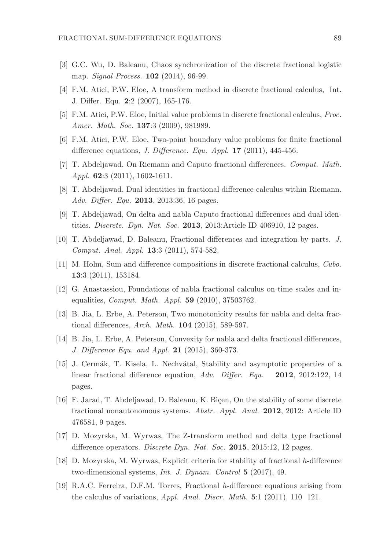- [3] G.C. Wu, D. Baleanu, Chaos synchronization of the discrete fractional logistic map. *Signal Process.* **102** (2014), 96-99.
- [4] F.M. Atici, P.W. Eloe, A transform method in discrete fractional calculus, Int. J. Differ. Equ. 2:2 (2007), 165-176.
- [5] F.M. Atici, P.W. Eloe, Initial value problems in discrete fractional calculus, Proc. Amer. Math. Soc. **137**:3 (2009), 981989.
- [6] F.M. Atici, P.W. Eloe, Two-point boundary value problems for finite fractional difference equations, *J. Difference. Equ. Appl.* **17** (2011), 445-456.
- [7] T. Abdeljawad, On Riemann and Caputo fractional differences. Comput. Math. Appl. **62**:3 (2011), 1602-1611.
- [8] T. Abdeljawad, Dual identities in fractional difference calculus within Riemann. Adv. Differ. Equ. **2013**, 2013:36, 16 pages.
- [9] T. Abdeljawad, On delta and nabla Caputo fractional differences and dual identities. Discrete. Dyn. Nat. Soc. 2013, 2013:Article ID 406910, 12 pages.
- [10] T. Abdeljawad, D. Baleanu, Fractional differences and integration by parts. J. Comput. Anal. Appl. 13:3 (2011), 574-582.
- [11] M. Holm, Sum and difference compositions in discrete fractional calculus, Cubo. 13:3 (2011), 153184.
- [12] G. Anastassiou, Foundations of nabla fractional calculus on time scales and inequalities, Comput. Math. Appl. 59 (2010), 37503762.
- [13] B. Jia, L. Erbe, A. Peterson, Two monotonicity results for nabla and delta fractional differences, Arch. Math. 104 (2015), 589-597.
- [14] B. Jia, L. Erbe, A. Peterson, Convexity for nabla and delta fractional differences, J. Difference Equ. and Appl. 21 (2015), 360-373.
- [15] J. Cermák, T. Kisela, L. Nechvátal, Stability and asymptotic properties of a linear fractional difference equation, Adv. Differ. Equ. 2012, 2012:122, 14 pages.
- [16] F. Jarad, T. Abdeljawad, D. Baleanu, K. Bicen, On the stability of some discrete fractional nonautonomous systems. Abstr. Appl. Anal. 2012, 2012: Article ID 476581, 9 pages.
- [17] D. Mozyrska, M. Wyrwas, The Z-transform method and delta type fractional difference operators. *Discrete Dyn. Nat. Soc.* 2015, 2015:12, 12 pages.
- [18] D. Mozyrska, M. Wyrwas, Explicit criteria for stability of fractional h-difference two-dimensional systems, Int. J. Dynam. Control 5 (2017), 49.
- [19] R.A.C. Ferreira, D.F.M. Torres, Fractional h-difference equations arising from the calculus of variations, Appl. Anal. Discr. Math. 5:1 (2011), 110 121.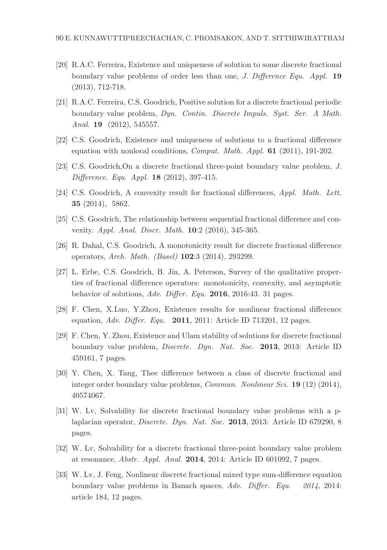- [20] R.A.C. Ferreira, Existence and uniqueness of solution to some discrete fractional boundary value problems of order less than one, J. Difference Equ. Appl. 19 (2013), 712-718.
- [21] R.A.C. Ferreira, C.S. Goodrich, Positive solution for a discrete fractional periodic boundary value problem, Dyn. Contin. Discrete Impuls. Syst. Ser. A Math. Anal. **19** (2012), 545557.
- [22] C.S. Goodrich, Existence and uniqueness of solutions to a fractional difference equation with nonlocal conditions, Comput. Math. Appl. 61 (2011), 191-202.
- [23] C.S. Goodrich,On a discrete fractional three-point boundary value problem, J. Difference. Equ. Appl. 18 (2012), 397-415.
- [24] C.S. Goodrich, A convexity result for fractional differences, Appl. Math. Lett. 35 (2014), 5862.
- [25] C.S. Goodrich, The relationship between sequential fractional difference and convexity. Appl. Anal. Discr. Math. 10:2 (2016), 345-365.
- [26] R. Dahal, C.S. Goodrich, A monotonicity result for discrete fractional difference operators, Arch. Math. (Basel) 102:3 (2014), 293299.
- [27] L. Erbe, C.S. Goodrich, B. Jia, A. Peterson, Survey of the qualitative properties of fractional difference operators: monotonicity, convexity, and asymptotic behavior of solutions, Adv. Differ. Equ. 2016, 2016:43. 31 pages.
- [28] F. Chen, X.Luo, Y.Zhou, Existence results for nonlinear fractional difference equation, Adv. Differ. Equ. 2011, 2011: Article ID 713201, 12 pages.
- [29] F. Chen, Y. Zhou, Existence and Ulam stability of solutions for discrete fractional boundary value problem, Discrete. Dyn. Nat. Soc. 2013, 2013: Article ID 459161, 7 pages.
- [30] Y. Chen, X. Tang, Thee difference between a class of discrete fractional and integer order boundary value problems, Commun. Nonlinear Sci. 19 (12) (2014), 40574067.
- [31] W. Lv, Solvability for discrete fractional boundary value problems with a plaplacian operator, Discrete. Dyn. Nat. Soc. 2013, 2013: Article ID 679290, 8 pages.
- [32] W. Lv, Solvability for a discrete fractional three-point boundary value problem at resonance, Abstr. Appl. Anal. 2014, 2014: Article ID 601092, 7 pages.
- [33] W. Lv, J. Feng, Nonlinear discrete fractional mixed type sum-difference equation boundary value problems in Banach spaces, Adv. Differ. Equ. 2014, 2014: article 184, 12 pages.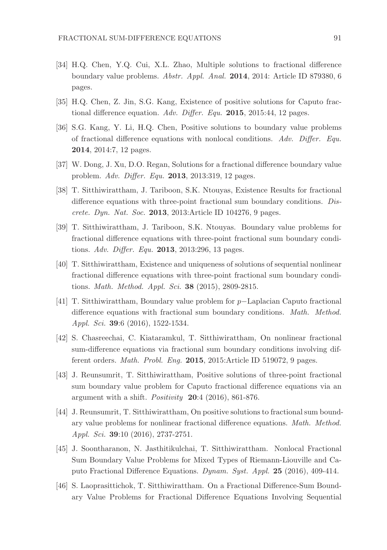- [34] H.Q. Chen, Y.Q. Cui, X.L. Zhao, Multiple solutions to fractional difference boundary value problems. Abstr. Appl. Anal. 2014, 2014: Article ID 879380, 6 pages.
- [35] H.Q. Chen, Z. Jin, S.G. Kang, Existence of positive solutions for Caputo fractional difference equation. Adv. Differ. Equ. 2015, 2015:44, 12 pages.
- [36] S.G. Kang, Y. Li, H.Q. Chen, Positive solutions to boundary value problems of fractional difference equations with nonlocal conditions. Adv. Differ. Equ. 2014, 2014:7, 12 pages.
- [37] W. Dong, J. Xu, D.O. Regan, Solutions for a fractional difference boundary value problem. Adv. Differ. Equ. 2013, 2013:319, 12 pages.
- [38] T. Sitthiwirattham, J. Tariboon, S.K. Ntouyas, Existence Results for fractional difference equations with three-point fractional sum boundary conditions. Discrete. Dyn. Nat. Soc. 2013, 2013:Article ID 104276, 9 pages.
- [39] T. Sitthiwirattham, J. Tariboon, S.K. Ntouyas. Boundary value problems for fractional difference equations with three-point fractional sum boundary conditions. Adv. Differ. Equ. 2013, 2013:296, 13 pages.
- [40] T. Sitthiwirattham, Existence and uniqueness of solutions of sequential nonlinear fractional difference equations with three-point fractional sum boundary conditions. Math. Method. Appl. Sci. 38 (2015), 2809-2815.
- [41] T. Sitthiwirattham, Boundary value problem for p−Laplacian Caputo fractional difference equations with fractional sum boundary conditions. *Math. Method.* Appl. Sci. 39:6 (2016), 1522-1534.
- [42] S. Chasreechai, C. Kiataramkul, T. Sitthiwirattham, On nonlinear fractional sum-difference equations via fractional sum boundary conditions involving different orders. Math. Probl. Eng. 2015, 2015:Article ID 519072, 9 pages.
- [43] J. Reunsumrit, T. Sitthiwirattham, Positive solutions of three-point fractional sum boundary value problem for Caputo fractional difference equations via an argument with a shift. *Positivity*  $20:4$  (2016), 861-876.
- [44] J. Reunsumrit, T. Sitthiwirattham, On positive solutions to fractional sum boundary value problems for nonlinear fractional difference equations. Math. Method. Appl. Sci. 39:10 (2016), 2737-2751.
- [45] J. Soontharanon, N. Jasthitikulchai, T. Sitthiwirattham. Nonlocal Fractional Sum Boundary Value Problems for Mixed Types of Riemann-Liouville and Caputo Fractional Difference Equations. Dynam. Syst. Appl. 25 (2016), 409-414.
- [46] S. Laoprasittichok, T. Sitthiwirattham. On a Fractional Difference-Sum Boundary Value Problems for Fractional Difference Equations Involving Sequential